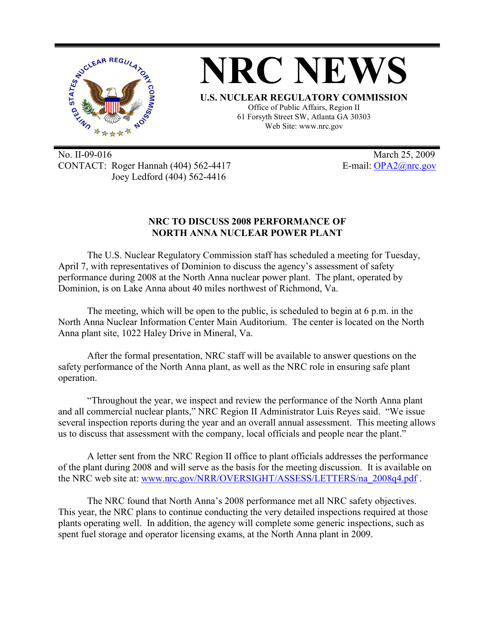

No. II-09-016 March 25, 2009 CONTACT: Roger Hannah (404) 562-4417 E-mail: OPA2@nrc.gov Joey Ledford (404) 562-4416

## **NRC TO DISCUSS 2008 PERFORMANCE OF NORTH ANNA NUCLEAR POWER PLANT**

The U.S. Nuclear Regulatory Commission staff has scheduled a meeting for Tuesday, April 7, with representatives of Dominion to discuss the agency's assessment of safety performance during 2008 at the North Anna nuclear power plant. The plant, operated by Dominion, is on Lake Anna about 40 miles northwest of Richmond, Va.

The meeting, which will be open to the public, is scheduled to begin at 6 p.m. in the North Anna Nuclear Information Center Main Auditorium. The center is located on the North Anna plant site, 1022 Haley Drive in Mineral, Va.

After the formal presentation, NRC staff will be available to answer questions on the safety performance of the North Anna plant, as well as the NRC role in ensuring safe plant operation.

"Throughout the year, we inspect and review the performance of the North Anna plant and all commercial nuclear plants," NRC Region II Administrator Luis Reyes said. "We issue several inspection reports during the year and an overall annual assessment. This meeting allows us to discuss that assessment with the company, local officials and people near the plant."

A letter sent from the NRC Region II office to plant officials addresses the performance of the plant during 2008 and will serve as the basis for the meeting discussion. It is available on the NRC web site at: www.nrc.gov/NRR/OVERSIGHT/ASSESS/LETTERS/na\_2008q4.pdf .

The NRC found that North Anna's 2008 performance met all NRC safety objectives. This year, the NRC plans to continue conducting the very detailed inspections required at those plants operating well. In addition, the agency will complete some generic inspections, such as spent fuel storage and operator licensing exams, at the North Anna plant in 2009.